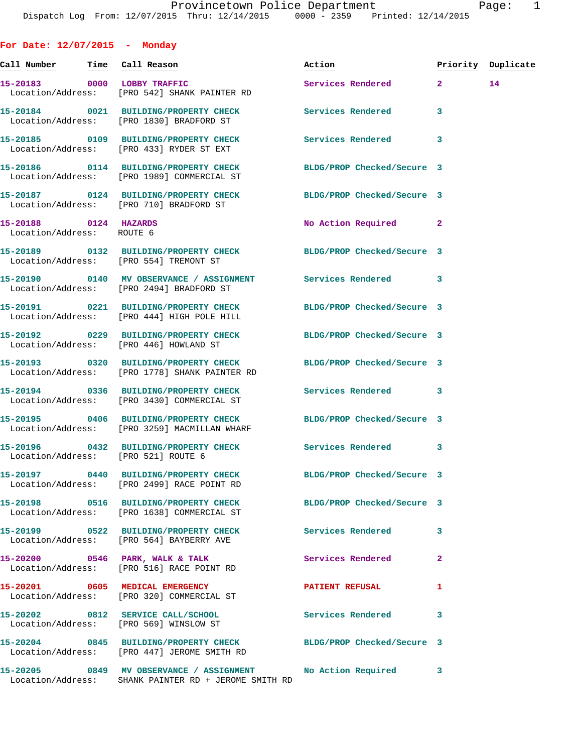**For Date: 12/07/2015 - Monday Call Number Time Call Reason Action Priority Duplicate 15-20183 0000 LOBBY TRAFFIC Services Rendered 2 14**  Location/Address: [PRO 542] SHANK PAINTER RD **15-20184 0021 BUILDING/PROPERTY CHECK Services Rendered 3**  Location/Address: [PRO 1830] BRADFORD ST **15-20185 0109 BUILDING/PROPERTY CHECK Services Rendered 3**  Location/Address: [PRO 433] RYDER ST EXT **15-20186 0114 BUILDING/PROPERTY CHECK BLDG/PROP Checked/Secure 3**  Location/Address: [PRO 1989] COMMERCIAL ST **15-20187 0124 BUILDING/PROPERTY CHECK BLDG/PROP Checked/Secure 3**  Location/Address: [PRO 710] BRADFORD ST **15-20188 0124 HAZARDS No Action Required 2**  Location/Address: ROUTE 6 **15-20189 0132 BUILDING/PROPERTY CHECK BLDG/PROP Checked/Secure 3**  Location/Address: [PRO 554] TREMONT ST **15-20190 0140 MV OBSERVANCE / ASSIGNMENT Services Rendered 3**  Location/Address: [PRO 2494] BRADFORD ST **15-20191 0221 BUILDING/PROPERTY CHECK BLDG/PROP Checked/Secure 3**  Location/Address: [PRO 444] HIGH POLE HILL **15-20192 0229 BUILDING/PROPERTY CHECK BLDG/PROP Checked/Secure 3**  Location/Address: [PRO 446] HOWLAND ST **15-20193 0320 BUILDING/PROPERTY CHECK BLDG/PROP Checked/Secure 3**  Location/Address: [PRO 1778] SHANK PAINTER RD **15-20194 0336 BUILDING/PROPERTY CHECK Services Rendered 3**  Location/Address: [PRO 3430] COMMERCIAL ST **15-20195 0406 BUILDING/PROPERTY CHECK BLDG/PROP Checked/Secure 3**  Location/Address: [PRO 3259] MACMILLAN WHARF **15-20196 0432 BUILDING/PROPERTY CHECK Services Rendered 3**  Location/Address: [PRO 521] ROUTE 6 **15-20197 0440 BUILDING/PROPERTY CHECK BLDG/PROP Checked/Secure 3**  Location/Address: [PRO 2499] RACE POINT RD **15-20198 0516 BUILDING/PROPERTY CHECK BLDG/PROP Checked/Secure 3**  Location/Address: [PRO 1638] COMMERCIAL ST **15-20199 0522 BUILDING/PROPERTY CHECK Services Rendered 3**  Location/Address: [PRO 564] BAYBERRY AVE **15-20200 0546 PARK, WALK & TALK Services Rendered 2**  Location/Address: [PRO 516] RACE POINT RD **15-20201 0605 MEDICAL EMERGENCY PATIENT REFUSAL 1**  Location/Address: [PRO 320] COMMERCIAL ST **15-20202 0812 SERVICE CALL/SCHOOL Services Rendered 3**  Location/Address: [PRO 569] WINSLOW ST

**15-20204 0845 BUILDING/PROPERTY CHECK BLDG/PROP Checked/Secure 3**  Location/Address: [PRO 447] JEROME SMITH RD **15-20205 0849 MV OBSERVANCE / ASSIGNMENT No Action Required 3** 

Location/Address: SHANK PAINTER RD + JEROME SMITH RD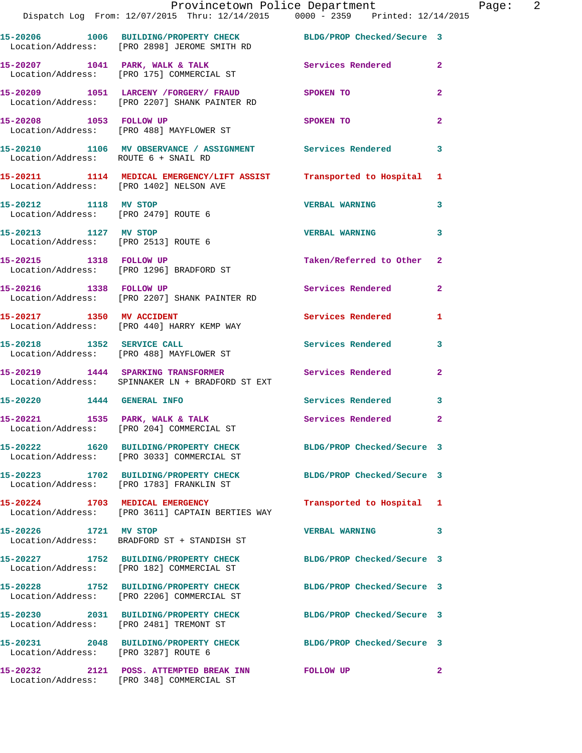|                                                               | Provincetown Police Department<br>Dispatch Log From: 12/07/2015 Thru: 12/14/2015 0000 - 2359 Printed: 12/14/2015 |                            |                |
|---------------------------------------------------------------|------------------------------------------------------------------------------------------------------------------|----------------------------|----------------|
|                                                               | 15-20206 1006 BUILDING/PROPERTY CHECK BLDG/PROP Checked/Secure 3<br>Location/Address: [PRO 2898] JEROME SMITH RD |                            |                |
|                                                               | 15-20207 1041 PARK, WALK & TALK<br>Location/Address: [PRO 175] COMMERCIAL ST                                     | <b>Services Rendered</b>   | $\overline{2}$ |
|                                                               | 15-20209 1051 LARCENY / FORGERY / FRAUD<br>Location/Address: [PRO 2207] SHANK PAINTER RD                         | <b>SPOKEN TO</b>           | $\overline{a}$ |
| 15-20208 1053 FOLLOW UP                                       | Location/Address: [PRO 488] MAYFLOWER ST                                                                         | <b>SPOKEN TO</b>           | $\mathbf{2}$   |
| Location/Address: ROUTE 6 + SNAIL RD                          | 15-20210 1106 MV OBSERVANCE / ASSIGNMENT Services Rendered                                                       |                            | 3              |
|                                                               | 15-20211 1114 MEDICAL EMERGENCY/LIFT ASSIST Transported to Hospital<br>Location/Address: [PRO 1402] NELSON AVE   |                            | 1              |
| 15-20212 1118 MV STOP<br>Location/Address: [PRO 2479] ROUTE 6 |                                                                                                                  | <b>VERBAL WARNING</b>      | 3              |
| 15-20213 1127 MV STOP<br>Location/Address: [PRO 2513] ROUTE 6 |                                                                                                                  | <b>VERBAL WARNING</b>      | 3              |
| 15-20215 1318 FOLLOW UP                                       | Location/Address: [PRO 1296] BRADFORD ST                                                                         | Taken/Referred to Other    | $\mathbf{2}$   |
|                                                               | 15-20216 1338 FOLLOW UP<br>Location/Address: [PRO 2207] SHANK PAINTER RD                                         | Services Rendered          | $\mathbf{2}$   |
| 15-20217 1350 MV ACCIDENT                                     | Location/Address: [PRO 440] HARRY KEMP WAY                                                                       | Services Rendered          | 1              |
|                                                               | 15-20218 1352 SERVICE CALL<br>Location/Address: [PRO 488] MAYFLOWER ST                                           | Services Rendered          | 3              |
|                                                               | 15-20219 1444 SPARKING TRANSFORMER<br>Location/Address: SPINNAKER LN + BRADFORD ST EXT                           | Services Rendered          | $\mathbf{2}$   |
| 15-20220 1444 GENERAL INFO                                    |                                                                                                                  | Services Rendered          | 3              |
| 15-20221 1535 PARK, WALK & TALK                               | Location/Address: [PRO 204] COMMERCIAL ST                                                                        | Services Rendered          | $\overline{a}$ |
|                                                               | 15-20222 1620 BUILDING/PROPERTY CHECK BLDG/PROP Checked/Secure 3<br>Location/Address: [PRO 3033] COMMERCIAL ST   |                            |                |
|                                                               | 15-20223 1702 BUILDING/PROPERTY CHECK<br>Location/Address: [PRO 1783] FRANKLIN ST                                | BLDG/PROP Checked/Secure 3 |                |
|                                                               | 15-20224 1703 MEDICAL EMERGENCY<br>Location/Address: [PRO 3611] CAPTAIN BERTIES WAY                              | Transported to Hospital    | 1              |
| 15-20226 1721 MV STOP                                         | Location/Address: BRADFORD ST + STANDISH ST                                                                      | <b>VERBAL WARNING</b>      | 3              |
|                                                               | 15-20227 1752 BUILDING/PROPERTY CHECK BLDG/PROP Checked/Secure 3<br>Location/Address: [PRO 182] COMMERCIAL ST    |                            |                |
|                                                               | 15-20228 1752 BUILDING/PROPERTY CHECK BLDG/PROP Checked/Secure 3<br>Location/Address: [PRO 2206] COMMERCIAL ST   |                            |                |
|                                                               | 15-20230 2031 BUILDING/PROPERTY CHECK<br>Location/Address: [PRO 2481] TREMONT ST                                 | BLDG/PROP Checked/Secure 3 |                |
| Location/Address: [PRO 3287] ROUTE 6                          | 15-20231 2048 BUILDING/PROPERTY CHECK BLDG/PROP Checked/Secure 3                                                 |                            |                |
|                                                               | 15-20232 2121 POSS. ATTEMPTED BREAK INN FOLLOW UP                                                                |                            | $\mathbf{2}$   |

Location/Address: [PRO 348] COMMERCIAL ST

Page: 2<br><sup>15</sup>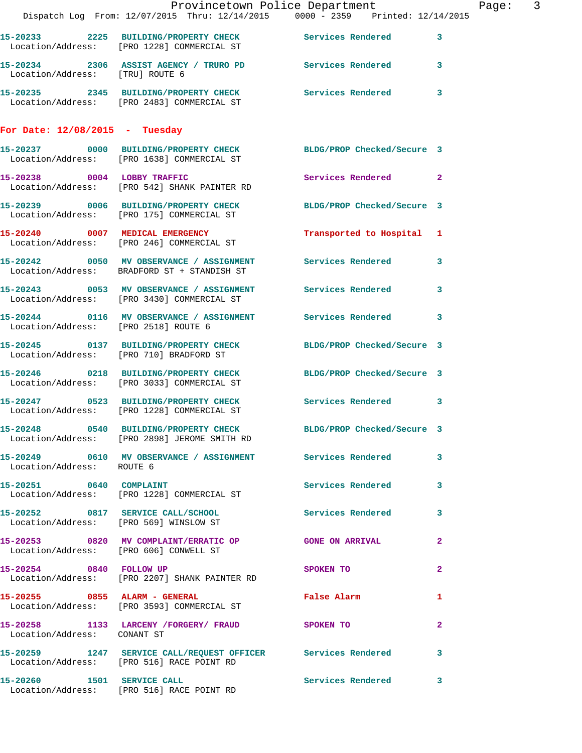|                                        | Dispatch Log From: 12/07/2015 Thru: 12/14/2015 0000 - 2359 Printed: 12/14/2015                                 | Provincetown Police Department Fage: 3 |              |  |
|----------------------------------------|----------------------------------------------------------------------------------------------------------------|----------------------------------------|--------------|--|
|                                        | 15-20233 2225 BUILDING/PROPERTY CHECK Services Rendered 3<br>Location/Address: [PRO 1228] COMMERCIAL ST        |                                        |              |  |
| Location/Address: [TRU] ROUTE 6        | 15-20234 2306 ASSIST AGENCY / TRURO PD Services Rendered 3                                                     |                                        |              |  |
|                                        | 15-20235 2345 BUILDING/PROPERTY CHECK Services Rendered 3<br>Location/Address: [PRO 2483] COMMERCIAL ST        |                                        |              |  |
| For Date: $12/08/2015$ - Tuesday       |                                                                                                                |                                        |              |  |
|                                        | 15-20237 0000 BUILDING/PROPERTY CHECK BLDG/PROP Checked/Secure 3<br>Location/Address: [PRO 1638] COMMERCIAL ST |                                        |              |  |
|                                        | 15-20238 0004 LOBBY TRAFFIC<br>Location/Address: [PRO 542] SHANK PAINTER RD                                    | Services Rendered 2                    |              |  |
|                                        | 15-20239 0006 BUILDING/PROPERTY CHECK BLDG/PROP Checked/Secure 3<br>Location/Address: [PRO 175] COMMERCIAL ST  |                                        |              |  |
|                                        | 15-20240 0007 MEDICAL EMERGENCY<br>Location/Address: [PRO 246] COMMERCIAL ST                                   | Transported to Hospital 1              |              |  |
|                                        | 15-20242 0050 MV OBSERVANCE / ASSIGNMENT Services Rendered 3<br>Location/Address: BRADFORD ST + STANDISH ST    |                                        |              |  |
|                                        | 15-20243 0053 MV OBSERVANCE / ASSIGNMENT Services Rendered<br>Location/Address: [PRO 3430] COMMERCIAL ST       |                                        | 3            |  |
| Location/Address: [PRO 2518] ROUTE 6   | 15-20244 0116 MV OBSERVANCE / ASSIGNMENT Services Rendered 3                                                   |                                        |              |  |
|                                        | 15-20245 0137 BUILDING/PROPERTY CHECK BLDG/PROP Checked/Secure 3<br>Location/Address: [PRO 710] BRADFORD ST    |                                        |              |  |
|                                        | 15-20246 0218 BUILDING/PROPERTY CHECK BLDG/PROP Checked/Secure 3<br>Location/Address: [PRO 3033] COMMERCIAL ST |                                        |              |  |
|                                        | 15-20247 0523 BUILDING/PROPERTY CHECK Services Rendered 3<br>Location/Address: [PRO 1228] COMMERCIAL ST        |                                        |              |  |
|                                        | 15-20248 0540 BUILDING/PROPERTY CHECK<br>Location/Address: [PRO 2898] JEROME SMITH RD                          | BLDG/PROP Checked/Secure 3             |              |  |
| Location/Address: ROUTE 6              | 15-20249 0610 MV OBSERVANCE / ASSIGNMENT Services Rendered                                                     |                                        | $\mathbf{3}$ |  |
|                                        | 15-20251 0640 COMPLAINT<br>Location/Address: [PRO 1228] COMMERCIAL ST                                          | Services Rendered 3                    |              |  |
|                                        | 15-20252 0817 SERVICE CALL/SCHOOL Services Rendered<br>Location/Address: [PRO 569] WINSLOW ST                  |                                        | 3            |  |
| Location/Address: [PRO 606] CONWELL ST | 15-20253 0820 MV COMPLAINT/ERRATIC OP GONE ON ARRIVAL                                                          |                                        | $\mathbf{2}$ |  |
|                                        | 15-20254 0840 FOLLOW UP<br>Location/Address: [PRO 2207] SHANK PAINTER RD                                       | SPOKEN TO                              | $\mathbf{2}$ |  |
|                                        | 15-20255 0855 ALARM - GENERAL<br>Location/Address: [PRO 3593] COMMERCIAL ST                                    | <b>False Alarm</b>                     | 1            |  |
| Location/Address: CONANT ST            | 15-20258 1133 LARCENY / FORGERY / FRAUD SPOKEN TO                                                              |                                        | $\mathbf{2}$ |  |
|                                        | 15-20259 1247 SERVICE CALL/REQUEST OFFICER Services Rendered 3<br>Location/Address: [PRO 516] RACE POINT RD    |                                        |              |  |
|                                        | 15-20260 1501 SERVICE CALL<br>Location/Address: [PRO 516] RACE POINT RD                                        | Services Rendered                      | 3            |  |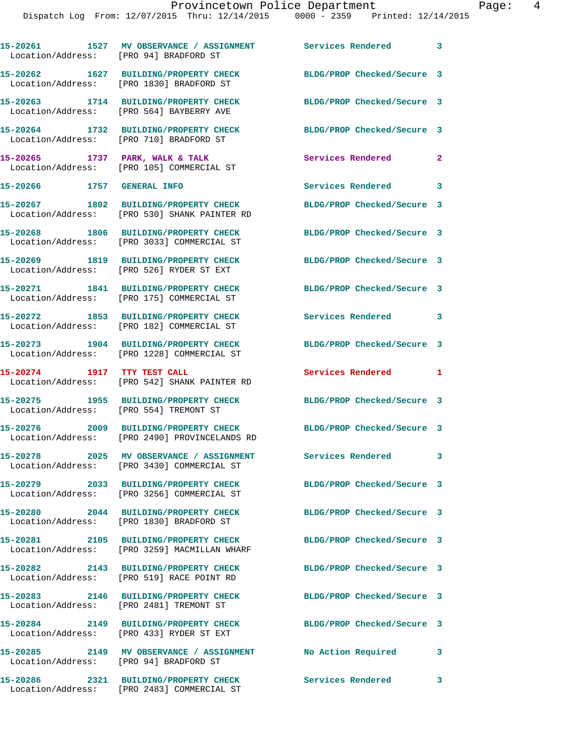**15-20261 1527 MV OBSERVANCE / ASSIGNMENT Services Rendered 3** 

Location/Address: [PRO 94] BRADFORD ST

|                                        | 15-20262 1627 BUILDING/PROPERTY CHECK<br>Location/Address: [PRO 1830] BRADFORD ST                              | BLDG/PROP Checked/Secure 3 |              |
|----------------------------------------|----------------------------------------------------------------------------------------------------------------|----------------------------|--------------|
|                                        | 15-20263 1714 BUILDING/PROPERTY CHECK<br>Location/Address: [PRO 564] BAYBERRY AVE                              | BLDG/PROP Checked/Secure 3 |              |
|                                        | 15-20264 1732 BUILDING/PROPERTY CHECK<br>Location/Address: [PRO 710] BRADFORD ST                               | BLDG/PROP Checked/Secure 3 |              |
|                                        | 15-20265 1737 PARK, WALK & TALK<br>Location/Address: [PRO 105] COMMERCIAL ST                                   | <b>Services Rendered</b>   | $\mathbf{2}$ |
| 15-20266 1757 GENERAL INFO             |                                                                                                                | Services Rendered 3        |              |
|                                        | 15-20267 1802 BUILDING/PROPERTY CHECK<br>Location/Address: [PRO 530] SHANK PAINTER RD                          | BLDG/PROP Checked/Secure 3 |              |
|                                        | 15-20268 1806 BUILDING/PROPERTY CHECK<br>Location/Address: [PRO 3033] COMMERCIAL ST                            | BLDG/PROP Checked/Secure 3 |              |
|                                        | 15-20269 1819 BUILDING/PROPERTY CHECK<br>Location/Address: [PRO 526] RYDER ST EXT                              | BLDG/PROP Checked/Secure 3 |              |
|                                        | 15-20271 1841 BUILDING/PROPERTY CHECK<br>Location/Address: [PRO 175] COMMERCIAL ST                             | BLDG/PROP Checked/Secure 3 |              |
|                                        | 15-20272 1853 BUILDING/PROPERTY CHECK<br>Location/Address: [PRO 182] COMMERCIAL ST                             | <b>Services Rendered</b>   | 3            |
|                                        | 15-20273 1904 BUILDING/PROPERTY CHECK<br>Location/Address: [PRO 1228] COMMERCIAL ST                            | BLDG/PROP Checked/Secure 3 |              |
|                                        | 15-20274 1917 TTY TEST CALL<br>Location/Address: [PRO 542] SHANK PAINTER RD                                    | Services Rendered          | 1            |
| Location/Address: [PRO 554] TREMONT ST | 15-20275 1955 BUILDING/PROPERTY CHECK                                                                          | BLDG/PROP Checked/Secure 3 |              |
|                                        | 15-20276 2009 BUILDING/PROPERTY CHECK<br>Location/Address: [PRO 2490] PROVINCELANDS RD                         | BLDG/PROP Checked/Secure 3 |              |
|                                        | 15-20278 2025 MV OBSERVANCE / ASSIGNMENT<br>Location/Address: [PRO 3430] COMMERCIAL ST                         | Services Rendered          | 3            |
|                                        | 15-20279 2033 BUILDING/PROPERTY CHECK BLDG/PROP Checked/Secure 3<br>Location/Address: [PRO 3256] COMMERCIAL ST |                            |              |
|                                        | 15-20280 2044 BUILDING/PROPERTY CHECK<br>Location/Address: [PRO 1830] BRADFORD ST                              | BLDG/PROP Checked/Secure 3 |              |
|                                        | 15-20281 2105 BUILDING/PROPERTY CHECK<br>Location/Address: [PRO 3259] MACMILLAN WHARF                          | BLDG/PROP Checked/Secure 3 |              |
|                                        | 15-20282 2143 BUILDING/PROPERTY CHECK<br>Location/Address: [PRO 519] RACE POINT RD                             | BLDG/PROP Checked/Secure 3 |              |
|                                        | 15-20283 2146 BUILDING/PROPERTY CHECK<br>Location/Address: [PRO 2481] TREMONT ST                               | BLDG/PROP Checked/Secure 3 |              |
|                                        | 15-20284 2149 BUILDING/PROPERTY CHECK<br>Location/Address: [PRO 433] RYDER ST EXT                              | BLDG/PROP Checked/Secure 3 |              |
|                                        | 15-20285 2149 MV OBSERVANCE / ASSIGNMENT<br>Location/Address: [PRO 94] BRADFORD ST                             | No Action Required         | 3            |
|                                        | 15-20286 2321 BUILDING/PROPERTY CHECK<br>Location/Address: [PRO 2483] COMMERCIAL ST                            | Services Rendered          | 3            |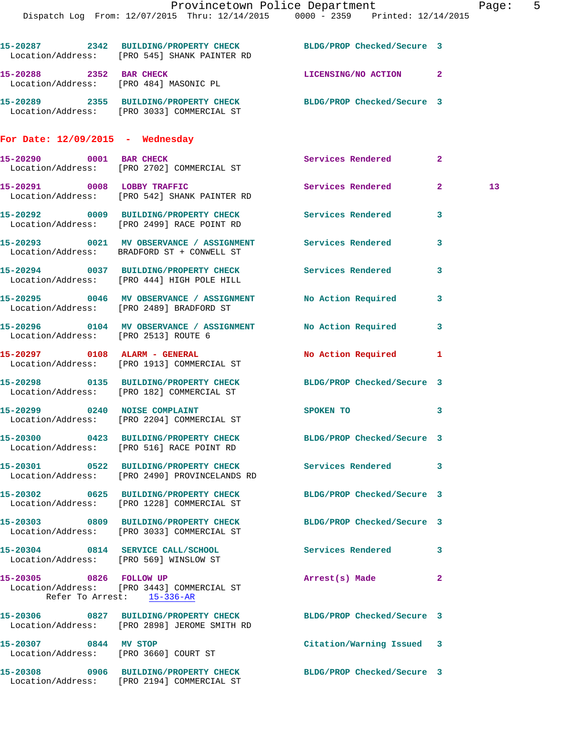|                                      | Provincetown Police Department Fage: 5                                                                           |                            |              |    |  |
|--------------------------------------|------------------------------------------------------------------------------------------------------------------|----------------------------|--------------|----|--|
|                                      | Dispatch Log From: 12/07/2015 Thru: 12/14/2015 0000 - 2359 Printed: 12/14/2015                                   |                            |              |    |  |
|                                      | 15-20287 2342 BUILDING/PROPERTY CHECK BLDG/PROP Checked/Secure 3<br>Location/Address: [PRO 545] SHANK PAINTER RD |                            |              |    |  |
|                                      | 15-20288 2352 BAR CHECK LICENSING/NO ACTION 2<br>Location/Address: [PRO 484] MASONIC PL                          |                            |              |    |  |
|                                      | 15-20289 2355 BUILDING/PROPERTY CHECK BLDG/PROP Checked/Secure 3<br>Location/Address: [PRO 3033] COMMERCIAL ST   |                            |              |    |  |
| For Date: $12/09/2015$ - Wednesday   |                                                                                                                  |                            |              |    |  |
|                                      | 15-20290 0001 BAR CHECK<br>Location/Address: [PRO 2702] COMMERCIAL ST                                            | Services Rendered          | $\mathbf{2}$ |    |  |
|                                      | 15-20291 0008 LOBBY TRAFFIC<br>Location/Address: [PRO 542] SHANK PAINTER RD                                      | Services Rendered          | $2^{\circ}$  | 13 |  |
|                                      | 15-20292 0009 BUILDING/PROPERTY CHECK Services Rendered 3<br>Location/Address: [PRO 2499] RACE POINT RD          |                            |              |    |  |
|                                      | 15-20293 0021 MV OBSERVANCE / ASSIGNMENT Services Rendered<br>Location/Address: BRADFORD ST + CONWELL ST         |                            | 3            |    |  |
|                                      | 15-20294 0037 BUILDING/PROPERTY CHECK Services Rendered 3<br>Location/Address: [PRO 444] HIGH POLE HILL          |                            |              |    |  |
|                                      | 15-20295 0046 MV OBSERVANCE / ASSIGNMENT No Action Required 3<br>Location/Address: [PRO 2489] BRADFORD ST        |                            |              |    |  |
| Location/Address: [PRO 2513] ROUTE 6 | 15-20296 0104 MV OBSERVANCE / ASSIGNMENT No Action Required 3                                                    |                            |              |    |  |
|                                      | 15-20297 0108 ALARM - GENERAL<br>Location/Address: [PRO 1913] COMMERCIAL ST                                      | No Action Required 1       |              |    |  |
|                                      | 15-20298 0135 BUILDING/PROPERTY CHECK BLDG/PROP Checked/Secure 3<br>Location/Address: [PRO 182] COMMERCIAL ST    |                            |              |    |  |
|                                      | 15-20299 0240 NOISE COMPLAINT<br>Location/Address: [PRO 2204] COMMERCIAL ST                                      | SPOKEN TO                  | 3            |    |  |
|                                      | 15-20300 0423 BUILDING/PROPERTY CHECK BLDG/PROP Checked/Secure 3<br>Location/Address: [PRO 516] RACE POINT RD    |                            |              |    |  |
|                                      | 15-20301 0522 BUILDING/PROPERTY CHECK Services Rendered 3<br>Location/Address: [PRO 2490] PROVINCELANDS RD       |                            |              |    |  |
|                                      | 15-20302 0625 BUILDING/PROPERTY CHECK BLDG/PROP Checked/Secure 3<br>Location/Address: [PRO 1228] COMMERCIAL ST   |                            |              |    |  |
|                                      | 15-20303 0809 BUILDING/PROPERTY CHECK<br>Location/Address: [PRO 3033] COMMERCIAL ST                              | BLDG/PROP Checked/Secure 3 |              |    |  |
|                                      | 15-20304 0814 SERVICE CALL/SCHOOL 5ervices Rendered 3<br>Location/Address: [PRO 569] WINSLOW ST                  |                            |              |    |  |
|                                      | 15-20305 0826 FOLLOW UP<br>Location/Address: [PRO 3443] COMMERCIAL ST<br>Refer To Arrest: 15-336-AR              | Arrest(s) Made             | 2            |    |  |
|                                      | 15-20306 0827 BUILDING/PROPERTY CHECK BLDG/PROP Checked/Secure 3<br>Location/Address: [PRO 2898] JEROME SMITH RD |                            |              |    |  |
| 15-20307 0844 MV STOP                | Location/Address: [PRO 3660] COURT ST                                                                            | Citation/Warning Issued 3  |              |    |  |
|                                      | 15-20308 0906 BUILDING/PROPERTY CHECK<br>Location/Address: [PRO 2194] COMMERCIAL ST                              | BLDG/PROP Checked/Secure 3 |              |    |  |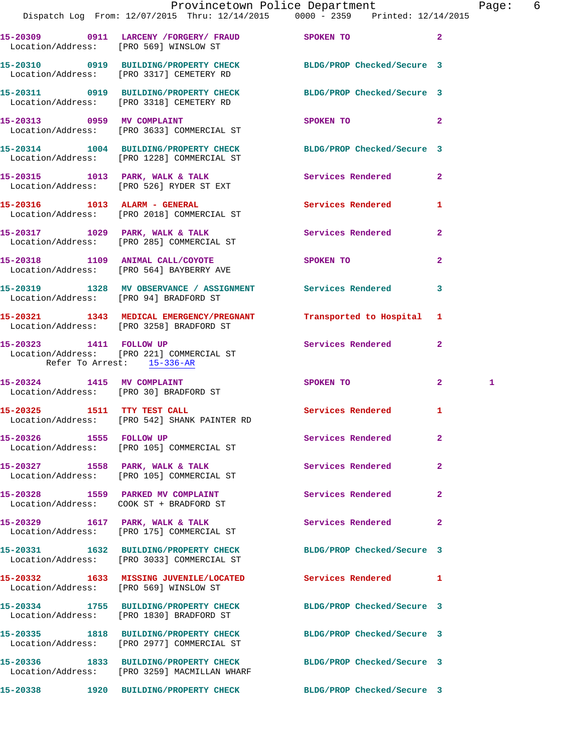|                                                       | Provincetown Police Department The Rage: 6                                                                     |                            |                |              |  |
|-------------------------------------------------------|----------------------------------------------------------------------------------------------------------------|----------------------------|----------------|--------------|--|
|                                                       | Dispatch Log From: 12/07/2015 Thru: 12/14/2015 0000 - 2359 Printed: 12/14/2015                                 |                            |                |              |  |
|                                                       | 15-20309 0911 LARCENY / FORGERY / FRAUD SPOKEN TO 2<br>Location/Address: [PRO 569] WINSLOW ST                  |                            |                |              |  |
|                                                       | 15-20310 0919 BUILDING/PROPERTY CHECK BLDG/PROP Checked/Secure 3<br>Location/Address: [PRO 3317] CEMETERY RD   |                            |                |              |  |
|                                                       | 15-20311 0919 BUILDING/PROPERTY CHECK BLDG/PROP Checked/Secure 3<br>Location/Address: [PRO 3318] CEMETERY RD   |                            |                |              |  |
|                                                       | 15-20313 0959 MV COMPLAINT<br>Location/Address: [PRO 3633] COMMERCIAL ST                                       | SPOKEN TO                  | $\sim$ 2       |              |  |
|                                                       | 15-20314 1004 BUILDING/PROPERTY CHECK BLDG/PROP Checked/Secure 3<br>Location/Address: [PRO 1228] COMMERCIAL ST |                            |                |              |  |
|                                                       | 15-20315 1013 PARK, WALK & TALK<br>Location/Address: [PRO 526] RYDER ST EXT                                    | Services Rendered 2        |                |              |  |
|                                                       | 15-20316 1013 ALARM - GENERAL<br>Location/Address: [PRO 2018] COMMERCIAL ST                                    | Services Rendered 1        |                |              |  |
|                                                       | 15-20317 1029 PARK, WALK & TALK 1999 Services Rendered 2<br>Location/Address: [PRO 285] COMMERCIAL ST          |                            |                |              |  |
|                                                       | 15-20318 1109 ANIMAL CALL/COYOTE SPOKEN TO<br>Location/Address: [PRO 564] BAYBERRY AVE                         |                            | $\overline{2}$ |              |  |
|                                                       | 15-20319 1328 MV OBSERVANCE / ASSIGNMENT Services Rendered 3<br>Location/Address: [PRO 94] BRADFORD ST         |                            |                |              |  |
|                                                       | 15-20321 1343 MEDICAL EMERGENCY/PREGNANT Transported to Hospital 1<br>Location/Address: [PRO 3258] BRADFORD ST |                            |                |              |  |
| 15-20323 1411 FOLLOW UP<br>Refer To Arrest: 15-336-AR | Location/Address: [PRO 221] COMMERCIAL ST                                                                      | Services Rendered 2        |                |              |  |
|                                                       | 15-20324 1415 MV COMPLAINT<br>Location/Address: [PRO 30] BRADFORD ST                                           | SPOKEN TO                  | $\mathbf{2}$   | $\mathbf{1}$ |  |
|                                                       | 15-20325 1511 TTY TEST CALL<br>Location/Address: [PRO 542] SHANK PAINTER RD                                    | Services Rendered 1        |                |              |  |
|                                                       | 15-20326 1555 FOLLOW UP<br>Location/Address: [PRO 105] COMMERCIAL ST                                           | Services Rendered          | $\mathbf{2}$   |              |  |
|                                                       | 15-20327 1558 PARK, WALK & TALK<br>Location/Address: [PRO 105] COMMERCIAL ST                                   | <b>Services Rendered</b> 2 |                |              |  |
|                                                       | 15-20328 1559 PARKED MV COMPLAINT<br>Location/Address: COOK ST + BRADFORD ST                                   | Services Rendered          | $\mathbf{2}$   |              |  |
|                                                       | 15-20329 1617 PARK, WALK & TALK<br>Location/Address: [PRO 175] COMMERCIAL ST                                   | Services Rendered 2        |                |              |  |
|                                                       | 15-20331 1632 BUILDING/PROPERTY CHECK<br>Location/Address: [PRO 3033] COMMERCIAL ST                            | BLDG/PROP Checked/Secure 3 |                |              |  |
|                                                       | 15-20332 1633 MISSING JUVENILE/LOCATED Services Rendered 1<br>Location/Address: [PRO 569] WINSLOW ST           |                            |                |              |  |
|                                                       | 15-20334 1755 BUILDING/PROPERTY CHECK<br>Location/Address: [PRO 1830] BRADFORD ST                              | BLDG/PROP Checked/Secure 3 |                |              |  |
|                                                       | 15-20335 1818 BUILDING/PROPERTY CHECK BLDG/PROP Checked/Secure 3<br>Location/Address: [PRO 2977] COMMERCIAL ST |                            |                |              |  |
|                                                       | 15-20336 1833 BUILDING/PROPERTY CHECK<br>Location/Address: [PRO 3259] MACMILLAN WHARF                          | BLDG/PROP Checked/Secure 3 |                |              |  |
|                                                       | 15-20338 1920 BUILDING/PROPERTY CHECK                                                                          | BLDG/PROP Checked/Secure 3 |                |              |  |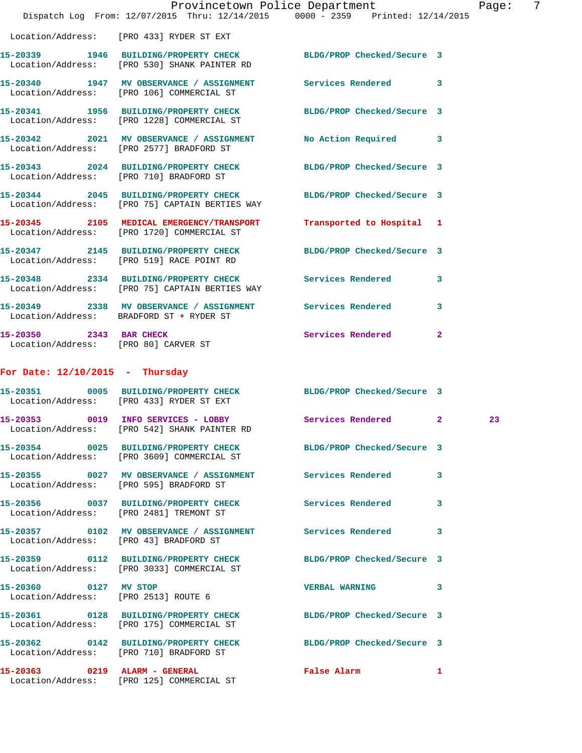|                                                                 | Provincetown Police Department<br>Dispatch Log From: 12/07/2015 Thru: 12/14/2015 0000 - 2359 Printed: 12/14/2015 |                            |              | Page: | 7 |
|-----------------------------------------------------------------|------------------------------------------------------------------------------------------------------------------|----------------------------|--------------|-------|---|
|                                                                 | Location/Address: [PRO 433] RYDER ST EXT                                                                         |                            |              |       |   |
|                                                                 | 15-20339 1946 BUILDING/PROPERTY CHECK BLDG/PROP Checked/Secure 3<br>Location/Address: [PRO 530] SHANK PAINTER RD |                            |              |       |   |
|                                                                 | 15-20340 1947 MV OBSERVANCE / ASSIGNMENT Services Rendered 3<br>Location/Address: [PRO 106] COMMERCIAL ST        |                            |              |       |   |
|                                                                 | 15-20341 1956 BUILDING/PROPERTY CHECK<br>Location/Address: [PRO 1228] COMMERCIAL ST                              | BLDG/PROP Checked/Secure 3 |              |       |   |
|                                                                 | 15-20342 2021 MV OBSERVANCE / ASSIGNMENT<br>Location/Address: [PRO 2577] BRADFORD ST                             | No Action Required 3       |              |       |   |
|                                                                 | 15-20343 2024 BUILDING/PROPERTY CHECK<br>Location/Address: [PRO 710] BRADFORD ST                                 | BLDG/PROP Checked/Secure 3 |              |       |   |
|                                                                 | 15-20344 2045 BUILDING/PROPERTY CHECK<br>Location/Address: [PRO 75] CAPTAIN BERTIES WAY                          | BLDG/PROP Checked/Secure 3 |              |       |   |
|                                                                 | 15-20345 2105 MEDICAL EMERGENCY/TRANSPORT<br>Location/Address: [PRO 1720] COMMERCIAL ST                          | Transported to Hospital 1  |              |       |   |
|                                                                 | 15-20347 2145 BUILDING/PROPERTY CHECK<br>Location/Address: [PRO 519] RACE POINT RD                               | BLDG/PROP Checked/Secure 3 |              |       |   |
|                                                                 | 15-20348 2334 BUILDING/PROPERTY CHECK Services Rendered 3<br>Location/Address: [PRO 75] CAPTAIN BERTIES WAY      |                            |              |       |   |
|                                                                 | 15-20349 2338 MV OBSERVANCE / ASSIGNMENT Services Rendered<br>Location/Address: BRADFORD ST + RYDER ST           |                            | 3            |       |   |
| 15-20350 2343 BAR CHECK<br>Location/Address: [PRO 80] CARVER ST |                                                                                                                  | Services Rendered          | $\mathbf{2}$ |       |   |
| For Date: $12/10/2015$ - Thursday                               |                                                                                                                  |                            |              |       |   |
|                                                                 | 15-20351 0005 BUILDING/PROPERTY CHECK BLDG/PROP Checked/Secure 3<br>Location/Address: [PRO 433] RYDER ST EXT     |                            |              |       |   |
|                                                                 | 15-20353 0019 INFO SERVICES - LOBBY<br>Location/Address: [PRO 542] SHANK PAINTER RD                              | Services Rendered          | $\mathbf{2}$ | 23    |   |
|                                                                 | 15-20354 0025 BUILDING/PROPERTY CHECK BLDG/PROP Checked/Secure 3<br>Location/Address: [PRO 3609] COMMERCIAL ST   |                            |              |       |   |
|                                                                 | 15-20355 0027 MV OBSERVANCE / ASSIGNMENT Services Rendered<br>Location/Address: [PRO 595] BRADFORD ST            |                            | 3            |       |   |
|                                                                 | 15-20356 0037 BUILDING/PROPERTY CHECK Services Rendered<br>Location/Address: [PRO 2481] TREMONT ST               |                            | 3            |       |   |
| Location/Address: [PRO 43] BRADFORD ST                          | 15-20357 0102 MV OBSERVANCE / ASSIGNMENT Services Rendered                                                       |                            | 3            |       |   |
|                                                                 | 15-20359 0112 BUILDING/PROPERTY CHECK<br>Location/Address: [PRO 3033] COMMERCIAL ST                              | BLDG/PROP Checked/Secure 3 |              |       |   |
| 15-20360 0127 MV STOP<br>Location/Address: [PRO 2513] ROUTE 6   |                                                                                                                  | <b>VERBAL WARNING</b>      | 3            |       |   |
|                                                                 | 15-20361 0128 BUILDING/PROPERTY CHECK BLDG/PROP Checked/Secure 3<br>Location/Address: [PRO 175] COMMERCIAL ST    |                            |              |       |   |
|                                                                 | 15-20362 0142 BUILDING/PROPERTY CHECK BLDG/PROP Checked/Secure 3<br>Location/Address: [PRO 710] BRADFORD ST      |                            |              |       |   |
| 15-20363 0219 ALARM - GENERAL                                   | Location/Address: [PRO 125] COMMERCIAL ST                                                                        | False Alarm                | 1            |       |   |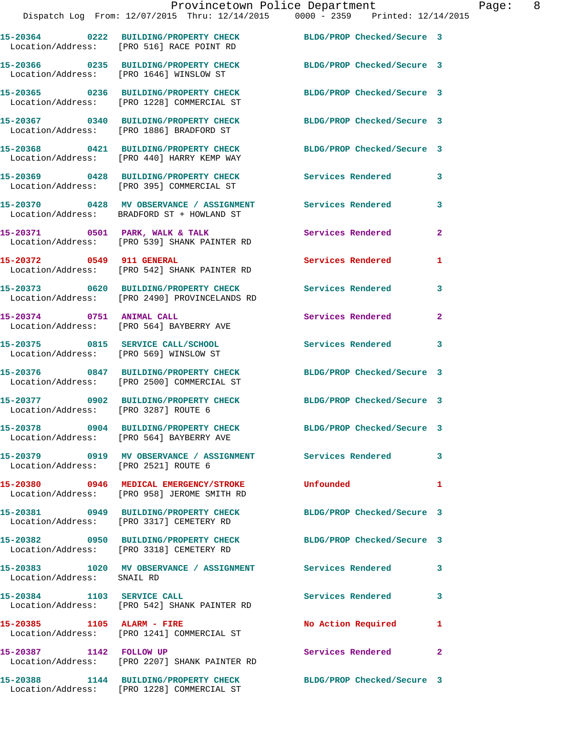Location/Address: [PRO 440] HARRY KEMP WAY

Location/Address: [PRO 395] COMMERCIAL ST

Location/Address: BRADFORD ST + HOWLAND ST

**15-20375 0815 SERVICE CALL/SCHOOL Services Rendered 3** 

Location/Address: [PRO 2521] ROUTE 6

Location/Address: SNAIL RD

 Location/Address: [PRO 1228] COMMERCIAL ST **15-20367 0340 BUILDING/PROPERTY CHECK BLDG/PROP Checked/Secure 3** 

Location/Address: [PRO 1886] BRADFORD ST

**15-20369 0428 BUILDING/PROPERTY CHECK Services Rendered 3** 

Location/Address: [PRO 539] SHANK PAINTER RD

Location/Address: [PRO 542] SHANK PAINTER RD

**15-20373 0620 BUILDING/PROPERTY CHECK Services Rendered 3**  Location/Address: [PRO 2490] PROVINCELANDS RD

Location/Address: [PRO 564] BAYBERRY AVE

Location/Address: [PRO 569] WINSLOW ST

Location/Address: [PRO 2500] COMMERCIAL ST

Location/Address: [PRO 3287] ROUTE 6

Location/Address: [PRO 564] BAYBERRY AVE

**15-20379 0919 MV OBSERVANCE / ASSIGNMENT Services Rendered 3** 

Location/Address: [PRO 958] JEROME SMITH RD

Location/Address: [PRO 3317] CEMETERY RD

**15-20382 0950 BUILDING/PROPERTY CHECK BLDG/PROP Checked/Secure 3**  Location/Address: [PRO 3318] CEMETERY RD

**15-20383 1020 MV OBSERVANCE / ASSIGNMENT Services Rendered 3** 

**15-20384 1103 SERVICE CALL Services Rendered 3**  Location/Address: [PRO 542] SHANK PAINTER RD

**15-20385 1105 ALARM - FIRE No Action Required 1**  Location/Address: [PRO 1241] COMMERCIAL ST

**15-20387 1142 FOLLOW UP Services Rendered 2**  Location/Address: [PRO 2207] SHANK PAINTER RD

**15-20388 1144 BUILDING/PROPERTY CHECK BLDG/PROP Checked/Secure 3**  Location/Address: [PRO 1228] COMMERCIAL ST

**15-20365 0236 BUILDING/PROPERTY CHECK BLDG/PROP Checked/Secure 3** 

**15-20368 0421 BUILDING/PROPERTY CHECK BLDG/PROP Checked/Secure 3** 

**15-20370 0428 MV OBSERVANCE / ASSIGNMENT Services Rendered 3** 

- **15-20371 0501 PARK, WALK & TALK Services Rendered 2**
- **15-20372 0549 911 GENERAL Services Rendered 1** 
	-
- 15-20374 0751 ANIMAL CALL Services Rendered 2

**15-20376 0847 BUILDING/PROPERTY CHECK BLDG/PROP Checked/Secure 3** 

**15-20377 0902 BUILDING/PROPERTY CHECK BLDG/PROP Checked/Secure 3** 

**15-20378 0904 BUILDING/PROPERTY CHECK BLDG/PROP Checked/Secure 3** 

**15-20380 0946 MEDICAL EMERGENCY/STROKE Unfounded 1** 

**15-20381 0949 BUILDING/PROPERTY CHECK BLDG/PROP Checked/Secure 3**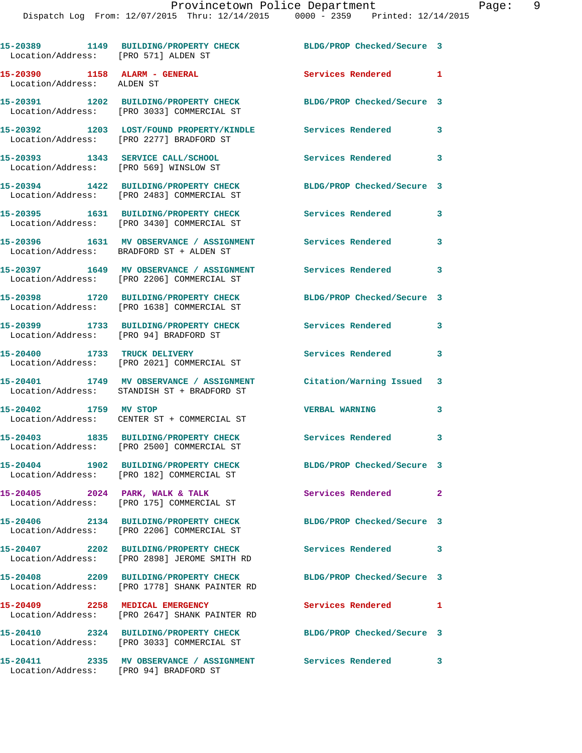| Location/Address: [PRO 571] ALDEN ST                                        | 15-20389 1149 BUILDING/PROPERTY CHECK                                                                  | BLDG/PROP Checked/Secure 3 |              |
|-----------------------------------------------------------------------------|--------------------------------------------------------------------------------------------------------|----------------------------|--------------|
| 15-20390 1158 ALARM - GENERAL<br>Location/Address: ALDEN ST                 |                                                                                                        | Services Rendered          | $\mathbf{1}$ |
|                                                                             | 15-20391 1202 BUILDING/PROPERTY CHECK<br>Location/Address: [PRO 3033] COMMERCIAL ST                    | BLDG/PROP Checked/Secure 3 |              |
|                                                                             | 15-20392 1203 LOST/FOUND PROPERTY/KINDLE<br>Location/Address: [PRO 2277] BRADFORD ST                   | Services Rendered          | 3            |
| 15-20393 1343 SERVICE CALL/SCHOOL<br>Location/Address: [PRO 569] WINSLOW ST |                                                                                                        | <b>Services Rendered</b>   | 3            |
|                                                                             | 15-20394 1422 BUILDING/PROPERTY CHECK<br>Location/Address: [PRO 2483] COMMERCIAL ST                    | BLDG/PROP Checked/Secure 3 |              |
|                                                                             | 15-20395 1631 BUILDING/PROPERTY CHECK<br>Location/Address: [PRO 3430] COMMERCIAL ST                    | Services Rendered          | 3            |
|                                                                             | 15-20396 1631 MV OBSERVANCE / ASSIGNMENT<br>Location/Address: BRADFORD ST + ALDEN ST                   | Services Rendered          | 3            |
|                                                                             | 15-20397 1649 MV OBSERVANCE / ASSIGNMENT<br>Location/Address: [PRO 2206] COMMERCIAL ST                 | Services Rendered          | 3            |
|                                                                             | 15-20398 1720 BUILDING/PROPERTY CHECK<br>Location/Address: [PRO 1638] COMMERCIAL ST                    | BLDG/PROP Checked/Secure 3 |              |
| Location/Address: [PRO 94] BRADFORD ST                                      | 15-20399 1733 BUILDING/PROPERTY CHECK                                                                  | Services Rendered          | 3            |
| 15-20400 1733 TRUCK DELIVERY                                                | Location/Address: [PRO 2021] COMMERCIAL ST                                                             | Services Rendered          | 3            |
|                                                                             | 15-20401 1749 MV OBSERVANCE / ASSIGNMENT<br>Location/Address: STANDISH ST + BRADFORD ST                | Citation/Warning Issued    | 3            |
| 15-20402 1759 MV STOP                                                       | Location/Address: CENTER ST + COMMERCIAL ST                                                            | <b>VERBAL WARNING</b>      | 3            |
| 15-20403                                                                    | 1835 BUILDING/PROPERTY CHECK<br>Location/Address: [PRO 2500] COMMERCIAL ST                             | Services Rendered          | $\mathbf{3}$ |
| 15-20404                                                                    | 1902 BUILDING/PROPERTY CHECK<br>Location/Address: [PRO 182] COMMERCIAL ST                              | BLDG/PROP Checked/Secure 3 |              |
|                                                                             | $15-20405$ 2024 PARK, WALK & TALK<br>Location/Address: [PRO 175] COMMERCIAL ST                         | Services Rendered          | $\mathbf{2}$ |
|                                                                             | 15-20406 2134 BUILDING/PROPERTY CHECK<br>Location/Address: [PRO 2206] COMMERCIAL ST                    | BLDG/PROP Checked/Secure 3 |              |
|                                                                             | Location/Address: [PRO 2898] JEROME SMITH RD                                                           | Services Rendered          | 3            |
|                                                                             | 15-20408 2209 BUILDING/PROPERTY CHECK<br>Location/Address: [PRO 1778] SHANK PAINTER RD                 | BLDG/PROP Checked/Secure 3 |              |
| 15-20409 2258 MEDICAL EMERGENCY                                             | Location/Address: [PRO 2647] SHANK PAINTER RD                                                          | Services Rendered          | 1            |
|                                                                             | 15-20410 2324 BUILDING/PROPERTY CHECK<br>Location/Address: [PRO 3033] COMMERCIAL ST                    | BLDG/PROP Checked/Secure 3 |              |
|                                                                             | 15-20411 2335 MV OBSERVANCE / ASSIGNMENT Services Rendered 3<br>Location/Address: [PRO 94] BRADFORD ST |                            |              |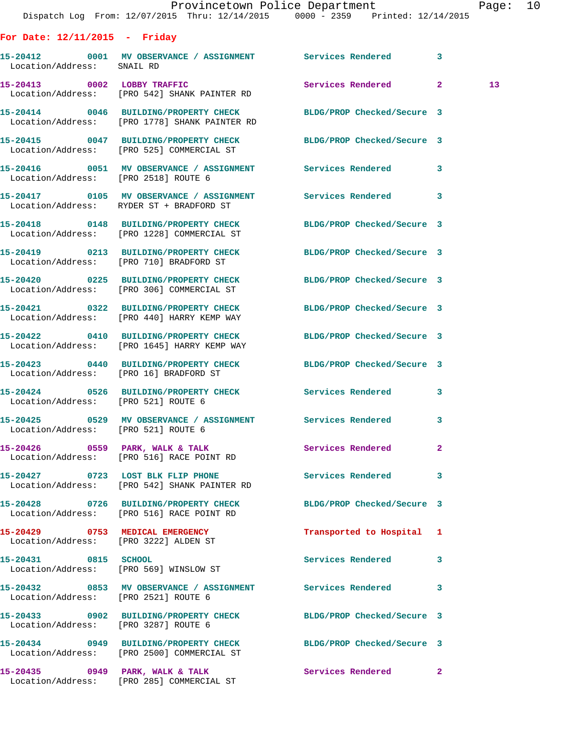|                                      |                                                                                   | Provincetown Police Department The Rage: 10                                                                   |                 |  |
|--------------------------------------|-----------------------------------------------------------------------------------|---------------------------------------------------------------------------------------------------------------|-----------------|--|
|                                      |                                                                                   | Dispatch Log From: 12/07/2015 Thru: 12/14/2015 0000 - 2359 Printed: 12/14/2015                                |                 |  |
| For Date: $12/11/2015$ - Friday      |                                                                                   |                                                                                                               |                 |  |
| Location/Address: SNAIL RD           |                                                                                   | 15-20412 0001 MV OBSERVANCE / ASSIGNMENT Services Rendered 3                                                  |                 |  |
|                                      | 15-20413 0002 LOBBY TRAFFIC<br>Location/Address: [PRO 542] SHANK PAINTER RD       | Services Rendered 2                                                                                           | 13 <sup>7</sup> |  |
|                                      | Location/Address: [PRO 1778] SHANK PAINTER RD                                     | 15-20414 0046 BUILDING/PROPERTY CHECK BLDG/PROP Checked/Secure 3                                              |                 |  |
|                                      |                                                                                   | 15-20415 0047 BUILDING/PROPERTY CHECK BLDG/PROP Checked/Secure 3<br>Location/Address: [PRO 525] COMMERCIAL ST |                 |  |
| Location/Address: [PRO 2518] ROUTE 6 |                                                                                   | 15-20416 0051 MV OBSERVANCE / ASSIGNMENT Services Rendered 3                                                  |                 |  |
|                                      | Location/Address: RYDER ST + BRADFORD ST                                          |                                                                                                               |                 |  |
|                                      | Location/Address: [PRO 1228] COMMERCIAL ST                                        | 15-20418 0148 BUILDING/PROPERTY CHECK BLDG/PROP Checked/Secure 3                                              |                 |  |
|                                      | Location/Address: [PRO 710] BRADFORD ST                                           | 15-20419 0213 BUILDING/PROPERTY CHECK BLDG/PROP Checked/Secure 3                                              |                 |  |
|                                      | Location/Address: [PRO 306] COMMERCIAL ST                                         | 15-20420 0225 BUILDING/PROPERTY CHECK BLDG/PROP Checked/Secure 3                                              |                 |  |
|                                      | Location/Address: [PRO 440] HARRY KEMP WAY                                        | 15-20421 0322 BUILDING/PROPERTY CHECK BLDG/PROP Checked/Secure 3                                              |                 |  |
|                                      | Location/Address: [PRO 1645] HARRY KEMP WAY                                       | 15-20422 0410 BUILDING/PROPERTY CHECK BLDG/PROP Checked/Secure 3                                              |                 |  |
|                                      | Location/Address: [PRO 16] BRADFORD ST                                            | 15-20423 0440 BUILDING/PROPERTY CHECK BLDG/PROP Checked/Secure 3                                              |                 |  |
|                                      |                                                                                   | 15-20424 0526 BUILDING/PROPERTY CHECK Services Rendered 3<br>Location/Address: [PRO 521] ROUTE 6              |                 |  |
| Location/Address: [PRO 521] ROUTE 6  |                                                                                   | 15-20425 0529 MV OBSERVANCE / ASSIGNMENT Services Rendered 3                                                  |                 |  |
|                                      | Location/Address: [PRO 516] RACE POINT RD                                         |                                                                                                               |                 |  |
|                                      | 15-20427 0723 LOST BLK FLIP PHONE<br>Location/Address: [PRO 542] SHANK PAINTER RD | Services Rendered 3                                                                                           |                 |  |
|                                      | Location/Address: [PRO 516] RACE POINT RD                                         | 15-20428 0726 BUILDING/PROPERTY CHECK BLDG/PROP Checked/Secure 3                                              |                 |  |
|                                      | 15-20429 0753 MEDICAL EMERGENCY<br>Location/Address: [PRO 3222] ALDEN ST          | Transported to Hospital 1                                                                                     |                 |  |
|                                      | 15-20431 0815 SCHOOL<br>Location/Address: [PRO 569] WINSLOW ST                    | Services Rendered 3                                                                                           |                 |  |
| Location/Address: [PRO 2521] ROUTE 6 |                                                                                   | 15-20432 0853 MV OBSERVANCE / ASSIGNMENT Services Rendered 3                                                  |                 |  |
| Location/Address: [PRO 3287] ROUTE 6 |                                                                                   | 15-20433 0902 BUILDING/PROPERTY CHECK BLDG/PROP Checked/Secure 3                                              |                 |  |
|                                      | Location/Address: [PRO 2500] COMMERCIAL ST                                        | 15-20434 0949 BUILDING/PROPERTY CHECK BLDG/PROP Checked/Secure 3                                              |                 |  |
|                                      |                                                                                   |                                                                                                               |                 |  |

Location/Address: [PRO 285] COMMERCIAL ST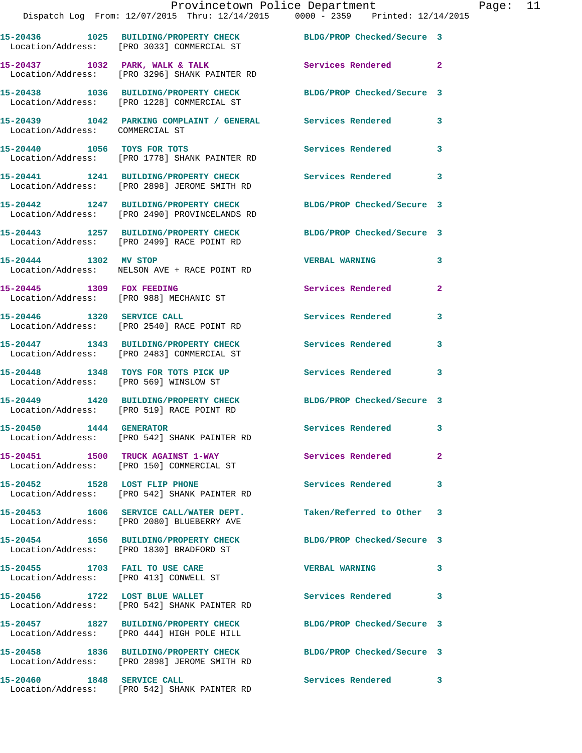|                                 | Provincetown Police Department<br>Dispatch Log From: 12/07/2015 Thru: 12/14/2015 0000 - 2359 Printed: 12/14/2015 |                            |                |
|---------------------------------|------------------------------------------------------------------------------------------------------------------|----------------------------|----------------|
|                                 | 15-20436 1025 BUILDING/PROPERTY CHECK BLDG/PROP Checked/Secure 3<br>Location/Address: [PRO 3033] COMMERCIAL ST   |                            |                |
|                                 | 15-20437 1032 PARK, WALK & TALK<br>Location/Address: [PRO 3296] SHANK PAINTER RD                                 | Services Rendered          | $\mathbf{2}$   |
|                                 | 15-20438 1036 BUILDING/PROPERTY CHECK BLDG/PROP Checked/Secure 3<br>Location/Address: [PRO 1228] COMMERCIAL ST   |                            |                |
| Location/Address: COMMERCIAL ST | 15-20439 1042 PARKING COMPLAINT / GENERAL Services Rendered                                                      |                            | 3              |
|                                 | 15-20440 1056 TOYS FOR TOTS<br>Location/Address: [PRO 1778] SHANK PAINTER RD                                     | <b>Services Rendered</b>   | 3              |
|                                 | 15-20441 1241 BUILDING/PROPERTY CHECK Services Rendered<br>Location/Address: [PRO 2898] JEROME SMITH RD          |                            | 3              |
|                                 | 15-20442 1247 BUILDING/PROPERTY CHECK<br>Location/Address: [PRO 2490] PROVINCELANDS RD                           | BLDG/PROP Checked/Secure 3 |                |
|                                 | 15-20443 1257 BUILDING/PROPERTY CHECK BLDG/PROP Checked/Secure 3<br>Location/Address: [PRO 2499] RACE POINT RD   |                            |                |
| 15-20444 1302 MV STOP           | Location/Address: NELSON AVE + RACE POINT RD                                                                     | <b>VERBAL WARNING</b>      | 3              |
| 15-20445 1309 FOX FEEDING       | Location/Address: [PRO 988] MECHANIC ST                                                                          | Services Rendered          | $\overline{a}$ |
|                                 | 15-20446 1320 SERVICE CALL<br>Location/Address: [PRO 2540] RACE POINT RD                                         | <b>Services Rendered</b>   | 3              |
|                                 | 15-20447 1343 BUILDING/PROPERTY CHECK<br>Location/Address: [PRO 2483] COMMERCIAL ST                              | <b>Services Rendered</b>   | 3              |
|                                 | 15-20448 1348 TOYS FOR TOTS PICK UP<br>Location/Address: [PRO 569] WINSLOW ST                                    | Services Rendered          | 3              |
|                                 | 15-20449 1420 BUILDING/PROPERTY CHECK<br>Location/Address: [PRO 519] RACE POINT RD                               | BLDG/PROP Checked/Secure 3 |                |
| 15-20450 1444 GENERATOR         | Location/Address: [PRO 542] SHANK PAINTER RD                                                                     | Services Rendered          | 3              |
|                                 | 15-20451 1500 TRUCK AGAINST 1-WAY<br>Location/Address: [PRO 150] COMMERCIAL ST                                   | Services Rendered          | $\overline{2}$ |
| 15-20452 1528 LOST FLIP PHONE   | Location/Address: [PRO 542] SHANK PAINTER RD                                                                     | <b>Services Rendered</b>   | 3              |
|                                 | 15-20453 1606 SERVICE CALL/WATER DEPT.<br>Location/Address: [PRO 2080] BLUEBERRY AVE                             | Taken/Referred to Other    | 3              |
|                                 | 15-20454 1656 BUILDING/PROPERTY CHECK<br>Location/Address: [PRO 1830] BRADFORD ST                                | BLDG/PROP Checked/Secure 3 |                |
| 15-20455 1703 FAIL TO USE CARE  | Location/Address: [PRO 413] CONWELL ST                                                                           | <b>VERBAL WARNING</b>      | 3              |
|                                 | 15-20456 1722 LOST BLUE WALLET<br>Location/Address: [PRO 542] SHANK PAINTER RD                                   | Services Rendered          | 3              |
|                                 | 15-20457 1827 BUILDING/PROPERTY CHECK<br>Location/Address: [PRO 444] HIGH POLE HILL                              | BLDG/PROP Checked/Secure 3 |                |
|                                 | 15-20458 1836 BUILDING/PROPERTY CHECK<br>Location/Address: [PRO 2898] JEROME SMITH RD                            | BLDG/PROP Checked/Secure 3 |                |
| 15-20460 1848 SERVICE CALL      |                                                                                                                  | <b>Services Rendered</b>   | 3              |

Location/Address: [PRO 542] SHANK PAINTER RD

Page: 11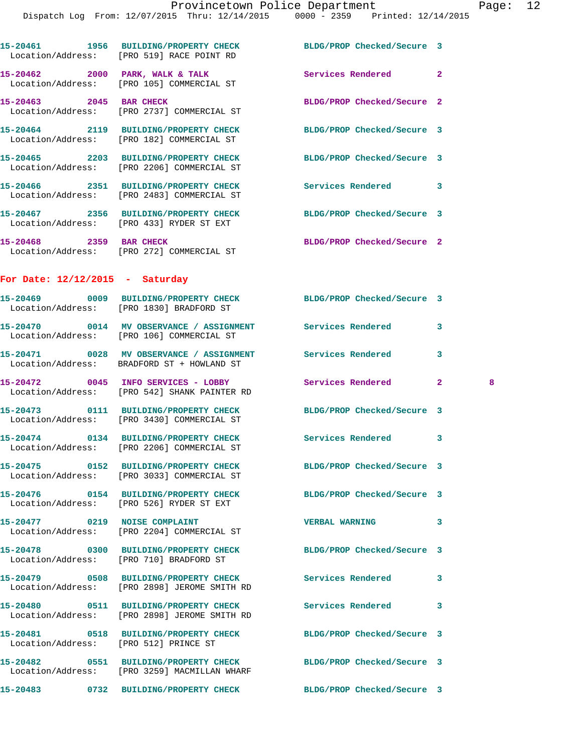|                                       | 15-20461 1956 BUILDING/PROPERTY CHECK<br>Location/Address: [PRO 519] RACE POINT RD                               | BLDG/PROP Checked/Secure 3 |                |   |
|---------------------------------------|------------------------------------------------------------------------------------------------------------------|----------------------------|----------------|---|
|                                       | $15-20462$ 2000 PARK, WALK & TALK<br>Location/Address: [PRO 105] COMMERCIAL ST                                   | <b>Services Rendered</b>   | $\overline{2}$ |   |
| 15-20463 2045 BAR CHECK               | Location/Address: [PRO 2737] COMMERCIAL ST                                                                       | BLDG/PROP Checked/Secure 2 |                |   |
|                                       | 15-20464 2119 BUILDING/PROPERTY CHECK<br>Location/Address: [PRO 182] COMMERCIAL ST                               | BLDG/PROP Checked/Secure 3 |                |   |
|                                       | 15-20465 2203 BUILDING/PROPERTY CHECK<br>Location/Address: [PRO 2206] COMMERCIAL ST                              | BLDG/PROP Checked/Secure 3 |                |   |
|                                       | 15-20466 2351 BUILDING/PROPERTY CHECK<br>Location/Address: [PRO 2483] COMMERCIAL ST                              | Services Rendered          | 3              |   |
|                                       | 15-20467 2356 BUILDING/PROPERTY CHECK<br>Location/Address: [PRO 433] RYDER ST EXT                                | BLDG/PROP Checked/Secure 3 |                |   |
| 15-20468 2359 BAR CHECK               | Location/Address: [PRO 272] COMMERCIAL ST                                                                        | BLDG/PROP Checked/Secure 2 |                |   |
| For Date: $12/12/2015$ - Saturday     |                                                                                                                  |                            |                |   |
|                                       | 15-20469 0009 BUILDING/PROPERTY CHECK<br>Location/Address: [PRO 1830] BRADFORD ST                                | BLDG/PROP Checked/Secure 3 |                |   |
|                                       | 15-20470  0014 MV OBSERVANCE / ASSIGNMENT Services Rendered<br>Location/Address: [PRO 106] COMMERCIAL ST         |                            | 3              |   |
|                                       | 15-20471 0028 MV OBSERVANCE / ASSIGNMENT<br>Location/Address: BRADFORD ST + HOWLAND ST                           | <b>Services Rendered</b>   | 3              |   |
|                                       | 15-20472 0045 INFO SERVICES - LOBBY<br>Location/Address: [PRO 542] SHANK PAINTER RD                              | Services Rendered          | $\mathbf{2}^-$ | 8 |
|                                       | 15-20473 0111 BUILDING/PROPERTY CHECK<br>Location/Address: [PRO 3430] COMMERCIAL ST                              | BLDG/PROP Checked/Secure 3 |                |   |
|                                       | 15-20474 0134 BUILDING/PROPERTY CHECK<br>Location/Address: [PRO 2206] COMMERCIAL ST                              | Services Rendered          | 3              |   |
| 15-20475                              | 0152 BUILDING/PROPERTY CHECK<br>Location/Address: [PRO 3033] COMMERCIAL ST                                       | BLDG/PROP Checked/Secure 3 |                |   |
|                                       | 15-20476  0154 BUILDING/PROPERTY CHECK BLDG/PROP Checked/Secure 3<br>Location/Address: [PRO 526] RYDER ST EXT    |                            |                |   |
|                                       | 15-20477 0219 NOISE COMPLAINT<br>Location/Address: [PRO 2204] COMMERCIAL ST                                      | <b>VERBAL WARNING</b>      | 3              |   |
|                                       | 15-20478 0300 BUILDING/PROPERTY CHECK<br>Location/Address: [PRO 710] BRADFORD ST                                 | BLDG/PROP Checked/Secure 3 |                |   |
|                                       | 15-20479 0508 BUILDING/PROPERTY CHECK<br>Location/Address: [PRO 2898] JEROME SMITH RD                            | Services Rendered          | 3              |   |
|                                       | 15-20480 0511 BUILDING/PROPERTY CHECK<br>Location/Address: [PRO 2898] JEROME SMITH RD                            | Services Rendered          | 3              |   |
| Location/Address: [PRO 512] PRINCE ST | 15-20481 0518 BUILDING/PROPERTY CHECK                                                                            | BLDG/PROP Checked/Secure 3 |                |   |
|                                       | 15-20482 0551 BUILDING/PROPERTY CHECK BLDG/PROP Checked/Secure 3<br>Location/Address: [PRO 3259] MACMILLAN WHARF |                            |                |   |
|                                       | 15-20483 0732 BUILDING/PROPERTY CHECK                                                                            | BLDG/PROP Checked/Secure 3 |                |   |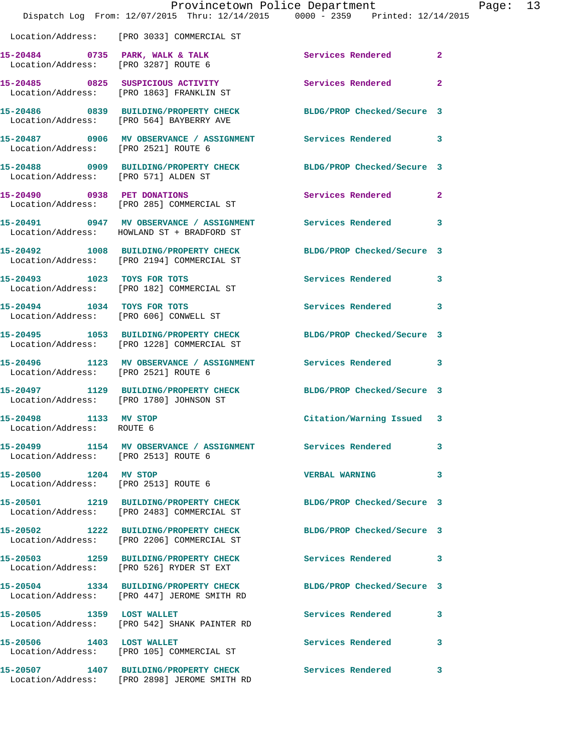|                                                               | Provincetown Police Department<br>Dispatch Log From: 12/07/2015 Thru: 12/14/2015 0000 - 2359 Printed: 12/14/2015  |                            |              | Page: 13 |
|---------------------------------------------------------------|-------------------------------------------------------------------------------------------------------------------|----------------------------|--------------|----------|
|                                                               | Location/Address: [PRO 3033] COMMERCIAL ST                                                                        |                            |              |          |
|                                                               | 15-20484 0735 PARK, WALK & TALK Services Rendered Execution Address: [PRO 3287] ROUTE 6                           |                            | $\mathbf{2}$ |          |
|                                                               | 15-20485 0825 SUSPICIOUS ACTIVITY<br>Location/Address: [PRO 1863] FRANKLIN ST                                     | Services Rendered 2        |              |          |
|                                                               | 15-20486 0839 BUILDING/PROPERTY CHECK BLDG/PROP Checked/Secure 3<br>Location/Address: [PRO 564] BAYBERRY AVE      |                            |              |          |
| Location/Address: [PRO 2521] ROUTE 6                          | 15-20487 0906 MV OBSERVANCE / ASSIGNMENT Services Rendered 3                                                      |                            |              |          |
| Location/Address: [PRO 571] ALDEN ST                          | 15-20488 0909 BUILDING/PROPERTY CHECK BLDG/PROP Checked/Secure 3                                                  |                            |              |          |
|                                                               | 15-20490 0938 PET DONATIONS<br>Location/Address: [PRO 285] COMMERCIAL ST                                          | <b>Services Rendered</b>   | $\mathbf{2}$ |          |
|                                                               | 15-20491 0947 MV OBSERVANCE / ASSIGNMENT Services Rendered 3<br>Location/Address: HOWLAND ST + BRADFORD ST        |                            |              |          |
|                                                               | 15-20492 1008 BUILDING/PROPERTY CHECK<br>Location/Address: [PRO 2194] COMMERCIAL ST                               | BLDG/PROP Checked/Secure 3 |              |          |
|                                                               | 15-20493 1023 TOYS FOR TOTS<br>Location/Address: [PRO 182] COMMERCIAL ST                                          | Services Rendered 3        |              |          |
|                                                               | 15-20494 1034 TOYS FOR TOTS<br>Location/Address: [PRO 606] CONWELL ST                                             | Services Rendered 3        |              |          |
|                                                               | 15-20495 1053 BUILDING/PROPERTY CHECK BLDG/PROP Checked/Secure 3<br>Location/Address: [PRO 1228] COMMERCIAL ST    |                            |              |          |
| Location/Address: [PRO 2521] ROUTE 6                          | 15-20496 1123 MV OBSERVANCE / ASSIGNMENT Services Rendered 3                                                      |                            |              |          |
|                                                               | 15-20497 1129 BUILDING/PROPERTY CHECK BLDG/PROP Checked/Secure 3<br>Location/Address: [PRO 1780] JOHNSON ST       |                            |              |          |
| 15-20498 1133 MV STOP<br>Location/Address: ROUTE 6            |                                                                                                                   | Citation/Warning Issued 3  |              |          |
| Location/Address: [PRO 2513] ROUTE 6                          | 15-20499               1154     MV  OBSERVANCE  /  ASSIGNMENT                 Services  Rendered                3 |                            |              |          |
| 15-20500 1204 MV STOP<br>Location/Address: [PRO 2513] ROUTE 6 |                                                                                                                   | <b>VERBAL WARNING</b>      | 3            |          |
|                                                               | 15-20501 1219 BUILDING/PROPERTY CHECK BLDG/PROP Checked/Secure 3<br>Location/Address: [PRO 2483] COMMERCIAL ST    |                            |              |          |
|                                                               | 15-20502 1222 BUILDING/PROPERTY CHECK BLDG/PROP Checked/Secure 3<br>Location/Address: [PRO 2206] COMMERCIAL ST    |                            |              |          |
|                                                               | 15-20503 1259 BUILDING/PROPERTY CHECK Services Rendered 3<br>Location/Address: [PRO 526] RYDER ST EXT             |                            |              |          |
|                                                               | 15-20504 1334 BUILDING/PROPERTY CHECK<br>Location/Address: [PRO 447] JEROME SMITH RD                              | BLDG/PROP Checked/Secure 3 |              |          |
| 15-20505 1359 LOST WALLET                                     | Location/Address: [PRO 542] SHANK PAINTER RD                                                                      | Services Rendered 3        |              |          |
|                                                               | 15-20506 1403 LOST WALLET<br>Location/Address: [PRO 105] COMMERCIAL ST                                            | Services Rendered          | 3            |          |
|                                                               | 15-20507 1407 BUILDING/PROPERTY CHECK Services Rendered<br>Location/Address: [PRO 2898] JEROME SMITH RD           |                            | $\mathbf{3}$ |          |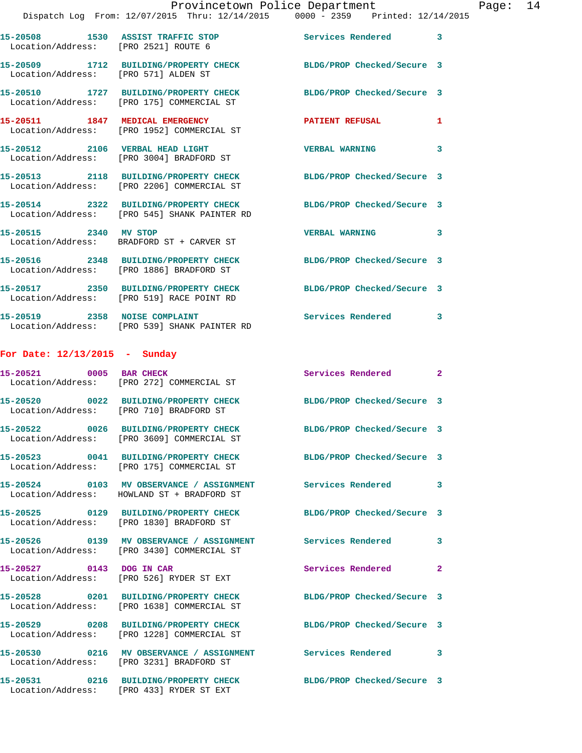|                                         | Provincetown Police Department<br>Dispatch Log From: 12/07/2015 Thru: 12/14/2015 0000 - 2359 Printed: 12/14/2015     |                            |              |
|-----------------------------------------|----------------------------------------------------------------------------------------------------------------------|----------------------------|--------------|
|                                         | 15-20508 1530 ASSIST TRAFFIC STOP<br>Location/Address: [PRO 2521] ROUTE 6                                            | Services Rendered          | 3            |
| Location/Address: [PRO 571] ALDEN ST    | 15-20509 1712 BUILDING/PROPERTY CHECK BLDG/PROP Checked/Secure 3                                                     |                            |              |
|                                         | 15-20510 1727 BUILDING/PROPERTY CHECK<br>Location/Address: [PRO 175] COMMERCIAL ST                                   | BLDG/PROP Checked/Secure 3 |              |
|                                         | 15-20511 1847 MEDICAL EMERGENCY<br>Location/Address: [PRO 1952] COMMERCIAL ST                                        | PATIENT REFUSAL            | 1            |
|                                         | 15-20512 2106 VERBAL HEAD LIGHT<br>Location/Address: [PRO 3004] BRADFORD ST                                          | <b>VERBAL WARNING</b>      | 3            |
|                                         | 15-20513 2118 BUILDING/PROPERTY CHECK BLDG/PROP Checked/Secure 3<br>Location/Address: [PRO 2206] COMMERCIAL ST       |                            |              |
|                                         | 15-20514 2322 BUILDING/PROPERTY CHECK BLDG/PROP Checked/Secure 3<br>Location/Address: [PRO 545] SHANK PAINTER RD     |                            |              |
|                                         | 15-20515 2340 MV STOP<br>Location/Address: BRADFORD ST + CARVER ST                                                   | <b>VERBAL WARNING</b>      | 3            |
|                                         | 15-20516 2348 BUILDING/PROPERTY CHECK BLDG/PROP Checked/Secure 3<br>Location/Address: [PRO 1886] BRADFORD ST         |                            |              |
|                                         | 15-20517 2350 BUILDING/PROPERTY CHECK<br>Location/Address: [PRO 519] RACE POINT RD                                   | BLDG/PROP Checked/Secure 3 |              |
| 15-20519 2358 NOISE COMPLAINT           | Location/Address: [PRO 539] SHANK PAINTER RD                                                                         | Services Rendered          | 3            |
| For Date: $12/13/2015$ - Sunday         |                                                                                                                      |                            |              |
|                                         | 15-20521 0005 BAR CHECK<br>Location/Address: [PRO 272] COMMERCIAL ST                                                 | <b>Services Rendered</b>   | $\mathbf{2}$ |
| Location/Address: [PRO 710] BRADFORD ST | 15-20520 0022 BUILDING/PROPERTY CHECK                                                                                | BLDG/PROP Checked/Secure 3 |              |
|                                         | 15-20522 0026 BUILDING/PROPERTY CHECK<br>Location/Address: [PRO 3609] COMMERCIAL ST                                  | BLDG/PROP Checked/Secure 3 |              |
|                                         | 15-20523 0041 BUILDING/PROPERTY CHECK<br>Location/Address: [PRO 175] COMMERCIAL ST                                   | BLDG/PROP Checked/Secure 3 |              |
|                                         | 15-20524 0103 MV OBSERVANCE / ASSIGNMENT Services Rendered<br>Location/Address: HOWLAND ST + BRADFORD ST             |                            | 3            |
|                                         | 15-20525 0129 BUILDING/PROPERTY CHECK BLDG/PROP Checked/Secure 3<br>Location/Address: [PRO 1830] BRADFORD ST         |                            |              |
|                                         | 15-20526      0139   MV OBSERVANCE / ASSIGNMENT      Services Rendered<br>Location/Address: [PRO 3430] COMMERCIAL ST |                            | 3            |
| 15-20527 0143 DOG IN CAR                | Location/Address: [PRO 526] RYDER ST EXT                                                                             | Services Rendered          | 2            |
|                                         | 15-20528 0201 BUILDING/PROPERTY CHECK BLDG/PROP Checked/Secure 3<br>Location/Address: [PRO 1638] COMMERCIAL ST       |                            |              |
|                                         | 15-20529 0208 BUILDING/PROPERTY CHECK<br>Location/Address: [PRO 1228] COMMERCIAL ST                                  | BLDG/PROP Checked/Secure 3 |              |
|                                         | 15-20530 0216 MV OBSERVANCE / ASSIGNMENT Services Rendered<br>Location/Address: [PRO 3231] BRADFORD ST               |                            | 3            |

Location/Address: [PRO 433] RYDER ST EXT

**15-20531 0216 BUILDING/PROPERTY CHECK BLDG/PROP Checked/Secure 3** 

Page:  $14$ <br>015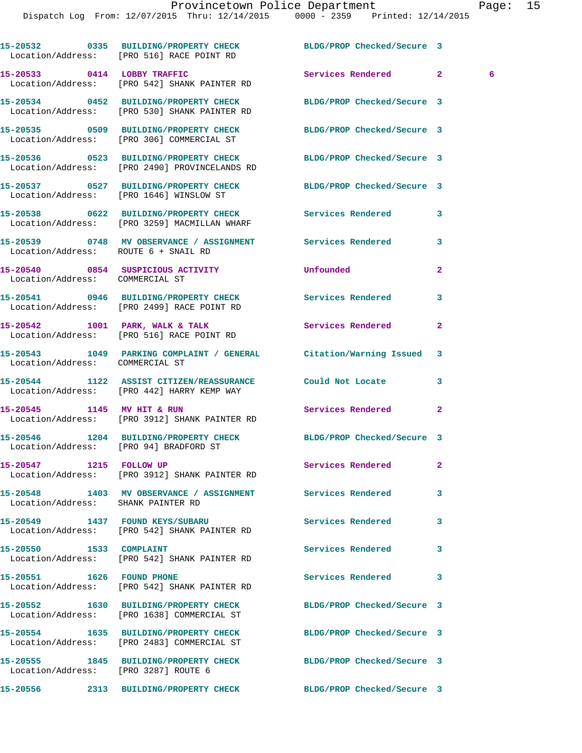|                                 | 15-20532 0335 BUILDING/PROPERTY CHECK<br>Location/Address: [PRO 516] RACE POINT RD                         | BLDG/PROP Checked/Secure 3 |                     |
|---------------------------------|------------------------------------------------------------------------------------------------------------|----------------------------|---------------------|
|                                 | 15-20533 0414 LOBBY TRAFFIC<br>Location/Address: [PRO 542] SHANK PAINTER RD                                | Services Rendered          | 2 <sup>1</sup><br>6 |
|                                 | 15-20534 0452 BUILDING/PROPERTY CHECK<br>Location/Address: [PRO 530] SHANK PAINTER RD                      | BLDG/PROP Checked/Secure 3 |                     |
|                                 | 15-20535 0509 BUILDING/PROPERTY CHECK<br>Location/Address: [PRO 306] COMMERCIAL ST                         | BLDG/PROP Checked/Secure 3 |                     |
|                                 | 15-20536 0523 BUILDING/PROPERTY CHECK<br>Location/Address: [PRO 2490] PROVINCELANDS RD                     | BLDG/PROP Checked/Secure 3 |                     |
|                                 | 15-20537 0527 BUILDING/PROPERTY CHECK<br>Location/Address: [PRO 1646] WINSLOW ST                           | BLDG/PROP Checked/Secure 3 |                     |
|                                 | 15-20538 0622 BUILDING/PROPERTY CHECK<br>Location/Address: [PRO 3259] MACMILLAN WHARF                      | Services Rendered          | 3                   |
|                                 | 15-20539 0748 MV OBSERVANCE / ASSIGNMENT Services Rendered<br>Location/Address: ROUTE 6 + SNAIL RD         |                            | 3                   |
| Location/Address: COMMERCIAL ST | 15-20540 0854 SUSPICIOUS ACTIVITY                                                                          | Unfounded                  | $\mathbf{2}$        |
|                                 | 15-20541 0946 BUILDING/PROPERTY CHECK<br>Location/Address: [PRO 2499] RACE POINT RD                        | Services Rendered          | 3                   |
|                                 | 15-20542 1001 PARK, WALK & TALK<br>Location/Address: [PRO 516] RACE POINT RD                               | Services Rendered          | $\mathbf{2}$        |
| Location/Address: COMMERCIAL ST | 15-20543 1049 PARKING COMPLAINT / GENERAL Citation/Warning Issued                                          |                            | 3                   |
|                                 | 15-20544 1122 ASSIST CITIZEN/REASSURANCE Could Not Locate<br>Location/Address: [PRO 442] HARRY KEMP WAY    |                            | 3                   |
| 15-20545 1145 MV HIT & RUN      | Location/Address: [PRO 3912] SHANK PAINTER RD                                                              | Services Rendered          | $\mathbf{2}$        |
|                                 | 15-20546 1204 BUILDING/PROPERTY CHECK BLDG/PROP Checked/Secure 3<br>Location/Address: [PRO 94] BRADFORD ST |                            |                     |
| 15-20547 1215 FOLLOW UP         | Location/Address: [PRO 3912] SHANK PAINTER RD                                                              | Services Rendered          | $\mathbf{2}$        |
|                                 | 15-20548 1403 MV OBSERVANCE / ASSIGNMENT Services Rendered<br>Location/Address: SHANK PAINTER RD           |                            | 3                   |
|                                 | 15-20549 1437 FOUND KEYS/SUBARU<br>Location/Address: [PRO 542] SHANK PAINTER RD                            | <b>Services Rendered</b>   | 3                   |
|                                 | Location/Address: [PRO 542] SHANK PAINTER RD                                                               | Services Rendered          | 3                   |
| 15-20551 1626 FOUND PHONE       | Location/Address: [PRO 542] SHANK PAINTER RD                                                               | <b>Services Rendered</b>   | 3                   |
|                                 | 15-20552 1630 BUILDING/PROPERTY CHECK<br>Location/Address: [PRO 1638] COMMERCIAL ST                        | BLDG/PROP Checked/Secure 3 |                     |
|                                 | 15-20554 1635 BUILDING/PROPERTY CHECK<br>Location/Address: [PRO 2483] COMMERCIAL ST                        | BLDG/PROP Checked/Secure 3 |                     |
|                                 | 15-20555 1845 BUILDING/PROPERTY CHECK<br>Location/Address: [PRO 3287] ROUTE 6                              | BLDG/PROP Checked/Secure 3 |                     |
|                                 |                                                                                                            | BLDG/PROP Checked/Secure 3 |                     |